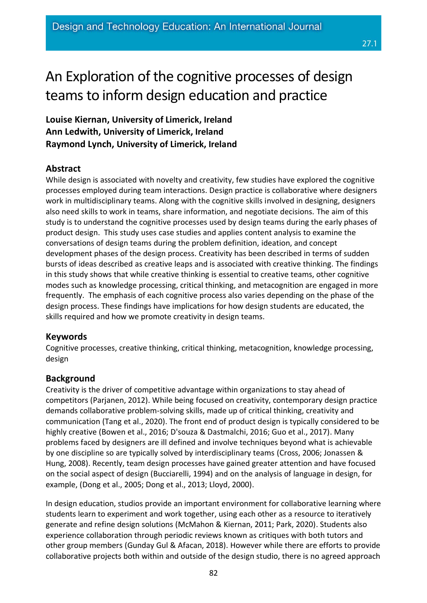# An Exploration of the cognitive processes of design teams to inform design education and practice

**Louise Kiernan, University of Limerick, Ireland Ann Ledwith, University of Limerick, Ireland Raymond Lynch, University of Limerick, Ireland**

# **Abstract**

While design is associated with novelty and creativity, few studies have explored the cognitive processes employed during team interactions. Design practice is collaborative where designers work in multidisciplinary teams. Along with the cognitive skills involved in designing, designers also need skills to work in teams, share information, and negotiate decisions. The aim of this study is to understand the cognitive processes used by design teams during the early phases of product design. This study uses case studies and applies content analysis to examine the conversations of design teams during the problem definition, ideation, and concept development phases of the design process. Creativity has been described in terms of sudden bursts of ideas described as creative leaps and is associated with creative thinking. The findings in this study shows that while creative thinking is essential to creative teams, other cognitive modes such as knowledge processing, critical thinking, and metacognition are engaged in more frequently. The emphasis of each cognitive process also varies depending on the phase of the design process. These findings have implications for how design students are educated, the skills required and how we promote creativity in design teams.

# **Keywords**

Cognitive processes, creative thinking, critical thinking, metacognition, knowledge processing, design

# **Background**

Creativity is the driver of competitive advantage within organizations to stay ahead of competitors (Parjanen, 2012). While being focused on creativity, contemporary design practice demands collaborative problem-solving skills, made up of critical thinking, creativity and communication (Tang et al., 2020). The front end of product design is typically considered to be highly creative (Bowen et al., 2016; D'souza & Dastmalchi, 2016; Guo et al., 2017). Many problems faced by designers are ill defined and involve techniques beyond what is achievable by one discipline so are typically solved by interdisciplinary teams (Cross, 2006; Jonassen & Hung, 2008). Recently, team design processes have gained greater attention and have focused on the social aspect of design (Bucciarelli, 1994) and on the analysis of language in design, for example, (Dong et al., 2005; Dong et al., 2013; Lloyd, 2000).

In design education, studios provide an important environment for collaborative learning where students learn to experiment and work together, using each other as a resource to iteratively generate and refine design solutions (McMahon & Kiernan, 2011; Park, 2020). Students also experience collaboration through periodic reviews known as critiques with both tutors and other group members (Gunday Gul & Afacan, 2018). However while there are efforts to provide collaborative projects both within and outside of the design studio, there is no agreed approach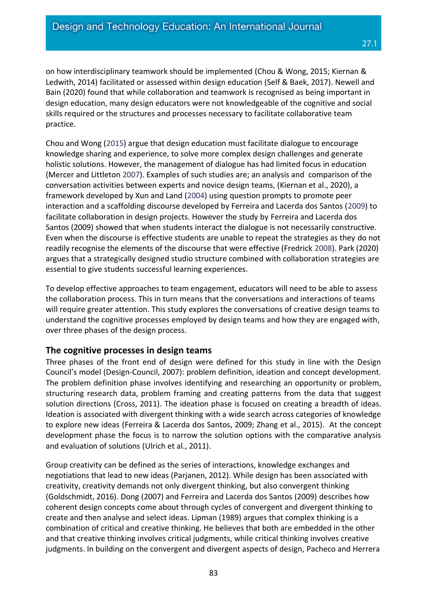on how interdisciplinary teamwork should be implemented (Chou & Wong, 2015; Kiernan & Ledwith, 2014) facilitated or assessed within design education (Self & Baek, 2017). Newell and Bain (2020) found that while collaboration and teamwork is recognised as being important in design education, many design educators were not knowledgeable of the cognitive and social skills required or the structures and processes necessary to facilitate collaborative team practice.

Chou and Wong [\(2015\)](https://link.springer.com/article/10.1007/s10798-019-09495-8#ref-CR14) argue that design education must facilitate dialogue to encourage knowledge sharing and experience, to solve more complex design challenges and generate holistic solutions. However, the management of dialogue has had limited focus in education (Mercer and Littleton [2007\)](https://link.springer.com/article/10.1007/s10798-019-09495-8#ref-CR54). Examples of such studies are; an analysis and comparison of the conversation activities between experts and novice design teams, (Kiernan et al., 2020), a framework developed by Xun and Land [\(2004\)](https://link.springer.com/article/10.1007/s10798-019-09495-8#ref-CR72) using question prompts to promote peer interaction and a scaffolding discourse developed by Ferreira and Lacerda dos Santos [\(2009\)](https://link.springer.com/article/10.1007/s10798-019-09495-8#ref-CR28) to facilitate collaboration in design projects. However the study by Ferreira and Lacerda dos Santos (2009) showed that when students interact the dialogue is not necessarily constructive. Even when the discourse is effective students are unable to repeat the strategies as they do not readily recognise the elements of the discourse that were effective (Fredrick [2008\)](https://link.springer.com/article/10.1007/s10798-019-09495-8#ref-CR30). Park (2020) argues that a strategically designed studio structure combined with collaboration strategies are essential to give students successful learning experiences.

To develop effective approaches to team engagement, educators will need to be able to assess the collaboration process. This in turn means that the conversations and interactions of teams will require greater attention. This study explores the conversations of creative design teams to understand the cognitive processes employed by design teams and how they are engaged with, over three phases of the design process.

## **The cognitive processes in design teams**

Three phases of the front end of design were defined for this study in line with the Design Council's model (Design-Council, 2007): problem definition, ideation and concept development. The problem definition phase involves identifying and researching an opportunity or problem, structuring research data, problem framing and creating patterns from the data that suggest solution directions (Cross, 2011). The ideation phase is focused on creating a breadth of ideas. Ideation is associated with divergent thinking with a wide search across categories of knowledge to explore new ideas (Ferreira & Lacerda dos Santos, 2009; Zhang et al., 2015). At the concept development phase the focus is to narrow the solution options with the comparative analysis and evaluation of solutions (Ulrich et al., 2011).

Group creativity can be defined as the series of interactions, knowledge exchanges and negotiations that lead to new ideas (Parjanen, 2012). While design has been associated with creativity, creativity demands not only divergent thinking, but also convergent thinking (Goldschmidt, 2016). Dong (2007) and Ferreira and Lacerda dos Santos (2009) describes how coherent design concepts come about through cycles of convergent and divergent thinking to create and then analyse and select ideas. Lipman (1989) argues that complex thinking is a combination of critical and creative thinking. He believes that both are embedded in the other and that creative thinking involves critical judgments, while critical thinking involves creative judgments. In building on the convergent and divergent aspects of design, Pacheco and Herrera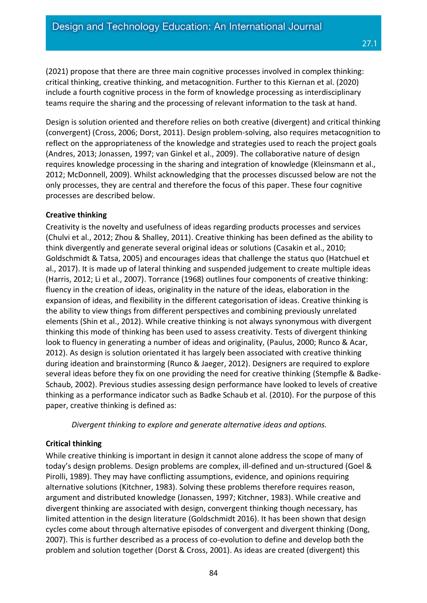(2021) propose that there are three main cognitive processes involved in complex thinking: critical thinking, creative thinking, and metacognition. Further to this Kiernan et al. (2020) include a fourth cognitive process in the form of knowledge processing as interdisciplinary teams require the sharing and the processing of relevant information to the task at hand.

Design is solution oriented and therefore relies on both creative (divergent) and critical thinking (convergent) (Cross, 2006; Dorst, 2011). Design problem-solving, also requires metacognition to reflect on the appropriateness of the knowledge and strategies used to reach the project goals (Andres, 2013; Jonassen, 1997; van Ginkel et al., 2009). The collaborative nature of design requires knowledge processing in the sharing and integration of knowledge (Kleinsmann et al., 2012; McDonnell, 2009). Whilst acknowledging that the processes discussed below are not the only processes, they are central and therefore the focus of this paper. These four cognitive processes are described below.

#### **Creative thinking**

Creativity is the novelty and usefulness of ideas regarding products processes and services (Chulvi et al., 2012; Zhou & Shalley, 2011). Creative thinking has been defined as the ability to think divergently and generate several original ideas or solutions (Casakin et al., 2010; Goldschmidt & Tatsa, 2005) and encourages ideas that challenge the status quo (Hatchuel et al., 2017). It is made up of lateral thinking and suspended judgement to create multiple ideas (Harris, 2012; Li et al., 2007). Torrance (1968) outlines four components of creative thinking: fluency in the creation of ideas, originality in the nature of the ideas, elaboration in the expansion of ideas, and flexibility in the different categorisation of ideas. Creative thinking is the ability to view things from different perspectives and combining previously unrelated elements (Shin et al., 2012). While creative thinking is not always synonymous with divergent thinking this mode of thinking has been used to assess creativity. Tests of divergent thinking look to fluency in generating a number of ideas and originality, (Paulus, 2000; Runco & Acar, 2012). As design is solution orientated it has largely been associated with creative thinking during ideation and brainstorming (Runco & Jaeger, 2012). Designers are required to explore several ideas before they fix on one providing the need for creative thinking (Stempfle & Badke-Schaub, 2002). Previous studies assessing design performance have looked to levels of creative thinking as a performance indicator such as Badke Schaub et al. (2010). For the purpose of this paper, creative thinking is defined as:

*Divergent thinking to explore and generate alternative ideas and options.*

## **Critical thinking**

While creative thinking is important in design it cannot alone address the scope of many of today's design problems. Design problems are complex, ill-defined and un-structured (Goel & Pirolli, 1989). They may have conflicting assumptions, evidence, and opinions requiring alternative solutions (Kitchner, 1983). Solving these problems therefore requires reason, argument and distributed knowledge (Jonassen, 1997; Kitchner, 1983). While creative and divergent thinking are associated with design, convergent thinking though necessary, has limited attention in the design literature (Goldschmidt 2016). It has been shown that design cycles come about through alternative episodes of convergent and divergent thinking (Dong, 2007). This is further described as a process of co-evolution to define and develop both the problem and solution together (Dorst & Cross, 2001). As ideas are created (divergent) this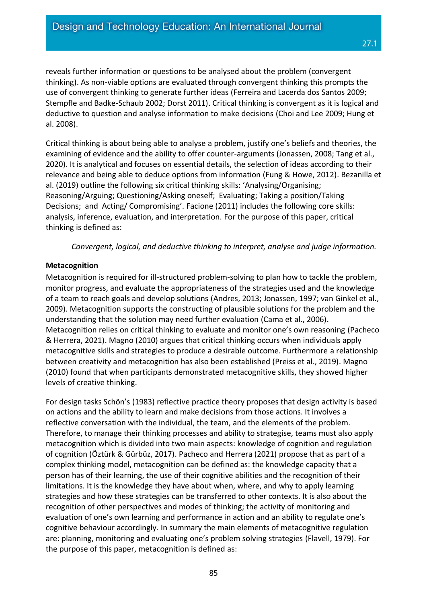reveals further information or questions to be analysed about the problem (convergent thinking). As non-viable options are evaluated through convergent thinking this prompts the use of convergent thinking to generate further ideas (Ferreira and Lacerda dos Santos 2009; Stempfle and Badke-Schaub 2002; Dorst 2011). Critical thinking is convergent as it is logical and deductive to question and analyse information to make decisions (Choi and Lee 2009; Hung et al. 2008).

Critical thinking is about being able to analyse a problem, justify one's beliefs and theories, the examining of evidence and the ability to offer counter-arguments (Jonassen, 2008; Tang et al., 2020). It is analytical and focuses on essential details, the selection of ideas according to their relevance and being able to deduce options from information (Fung & Howe, 2012). Bezanilla et al. (2019) outline the following six critical thinking skills: 'Analysing/Organising; Reasoning/Arguing; Questioning/Asking oneself; Evaluating; Taking a position/Taking Decisions; and Acting/ Compromising'. Facione (2011) includes the following core skills: analysis, inference, evaluation, and interpretation. For the purpose of this paper, critical thinking is defined as:

*Convergent, logical, and deductive thinking to interpret, analyse and judge information.*

#### **Metacognition**

Metacognition is required for ill-structured problem-solving to plan how to tackle the problem, monitor progress, and evaluate the appropriateness of the strategies used and the knowledge of a team to reach goals and develop solutions (Andres, 2013; Jonassen, 1997; van Ginkel et al., 2009). Metacognition supports the constructing of plausible solutions for the problem and the understanding that the solution may need further evaluation (Cama et al., 2006). Metacognition relies on critical thinking to evaluate and monitor one's own reasoning (Pacheco & Herrera, 2021). Magno (2010) argues that critical thinking occurs when individuals apply metacognitive skills and strategies to produce a desirable outcome. Furthermore a relationship between creativity and metacognition has also been established (Preiss et al., 2019). Magno (2010) found that when participants demonstrated metacognitive skills, they showed higher levels of creative thinking.

For design tasks Schön's (1983) reflective practice theory proposes that design activity is based on actions and the ability to learn and make decisions from those actions. It involves a reflective conversation with the individual, the team, and the elements of the problem. Therefore, to manage their thinking processes and ability to strategise, teams must also apply metacognition which is divided into two main aspects: knowledge of cognition and regulation of cognition (Öztürk & Gürbüz, 2017). Pacheco and Herrera (2021) propose that as part of a complex thinking model, metacognition can be defined as: the knowledge capacity that a person has of their learning, the use of their cognitive abilities and the recognition of their limitations. It is the knowledge they have about when, where, and why to apply learning strategies and how these strategies can be transferred to other contexts. It is also about the recognition of other perspectives and modes of thinking; the activity of monitoring and evaluation of one's own learning and performance in action and an ability to regulate one's cognitive behaviour accordingly. In summary the main elements of metacognitive regulation are: planning, monitoring and evaluating one's problem solving strategies (Flavell, 1979). For the purpose of this paper, metacognition is defined as: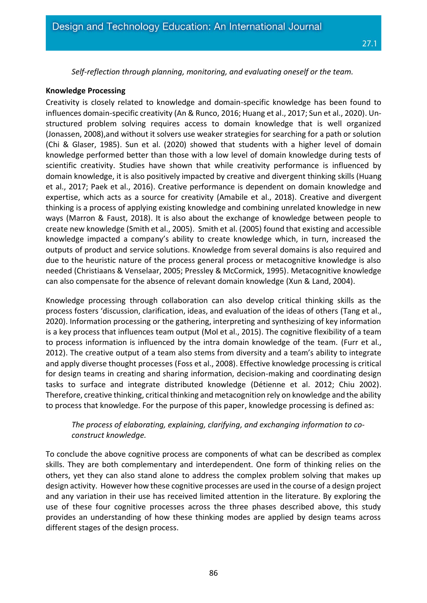*Self-reflection through planning, monitoring, and evaluating oneself or the team.*

#### **Knowledge Processing**

Creativity is closely related to knowledge and domain-specific knowledge has been found to influences domain-specific creativity (An & Runco, 2016; Huang et al., 2017; Sun et al., 2020). Unstructured problem solving requires access to domain knowledge that is well organized (Jonassen, 2008),and without it solvers use weaker strategies for searching for a path or solution (Chi & Glaser, 1985). Sun et al. (2020) showed that students with a higher level of domain knowledge performed better than those with a low level of domain knowledge during tests of scientific creativity. Studies have shown that while creativity performance is influenced by domain knowledge, it is also positively impacted by creative and divergent thinking skills (Huang et al., 2017; Paek et al., 2016). Creative performance is dependent on domain knowledge and expertise, which acts as a source for creativity (Amabile et al., 2018). Creative and divergent thinking is a process of applying existing knowledge and combining unrelated knowledge in new ways (Marron & Faust, 2018). It is also about the exchange of knowledge between people to create new knowledge (Smith et al., 2005). Smith et al. (2005) found that existing and accessible knowledge impacted a company's ability to create knowledge which, in turn, increased the outputs of product and service solutions. Knowledge from several domains is also required and due to the heuristic nature of the process general process or metacognitive knowledge is also needed (Christiaans & Venselaar, 2005; Pressley & McCormick, 1995). Metacognitive knowledge can also compensate for the absence of relevant domain knowledge (Xun & Land, 2004).

Knowledge processing through collaboration can also develop critical thinking skills as the process fosters 'discussion, clarification, ideas, and evaluation of the ideas of others (Tang et al., 2020). Information processing or the gathering, interpreting and synthesizing of key information is a key process that influences team output (Mol et al., 2015). The cognitive flexibility of a team to process information is influenced by the intra domain knowledge of the team. (Furr et al., 2012). The creative output of a team also stems from diversity and a team's ability to integrate and apply diverse thought processes (Foss et al., 2008). Effective knowledge processing is critical for design teams in creating and sharing information, decision-making and coordinating design tasks to surface and integrate distributed knowledge (Détienne et al. 2012; Chiu 2002). Therefore, creative thinking, critical thinking and metacognition rely on knowledge and the ability to process that knowledge. For the purpose of this paper, knowledge processing is defined as:

## *The process of elaborating, explaining, clarifying, and exchanging information to coconstruct knowledge.*

To conclude the above cognitive process are components of what can be described as complex skills. They are both complementary and interdependent. One form of thinking relies on the others, yet they can also stand alone to address the complex problem solving that makes up design activity. However how these cognitive processes are used in the course of a design project and any variation in their use has received limited attention in the literature. By exploring the use of these four cognitive processes across the three phases described above, this study provides an understanding of how these thinking modes are applied by design teams across different stages of the design process.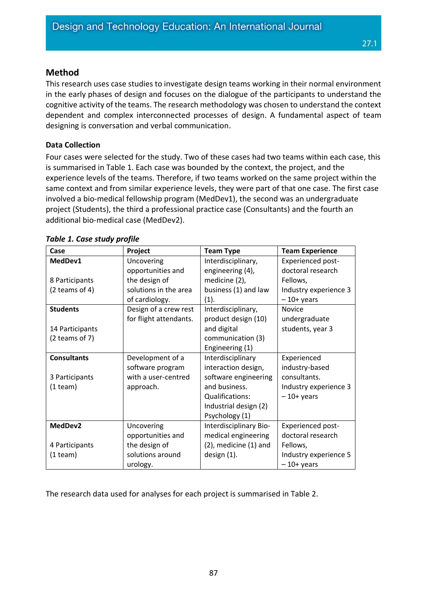This research uses case studies to investigate design teams working in their normal environment in the early phases of design and focuses on the dialogue of the participants to understand the cognitive activity of the teams. The research methodology was chosen to understand the context dependent and complex interconnected processes of design. A fundamental aspect of team designing is conversation and verbal communication.

27.1

## **Data Collection**

Four cases were selected for the study. Two of these cases had two teams within each case, this is summarised in Table 1. Each case was bounded by the context, the project, and the experience levels of the teams. Therefore, if two teams worked on the same project within the same context and from similar experience levels, they were part of that one case. The first case involved a bio-medical fellowship program (MedDev1), the second was an undergraduate project (Students), the third a professional practice case (Consultants) and the fourth an additional bio-medical case (MedDev2).

| Case               | Project                | <b>Team Type</b>           | <b>Team Experience</b>   |
|--------------------|------------------------|----------------------------|--------------------------|
| MedDev1            | Uncovering             | Interdisciplinary,         | <b>Experienced post-</b> |
|                    | opportunities and      | engineering (4),           | doctoral research        |
| 8 Participants     | the design of          | medicine (2),              | Fellows,                 |
| $(2$ teams of 4)   | solutions in the area  | business (1) and law       | Industry experience 3    |
|                    | of cardiology.         | (1).                       | $-10+$ years             |
| <b>Students</b>    | Design of a crew rest  | Interdisciplinary,         | <b>Novice</b>            |
|                    | for flight attendants. | product design (10)        | undergraduate            |
| 14 Participants    |                        | and digital                | students, year 3         |
| $(2$ teams of 7)   |                        | communication (3)          |                          |
|                    |                        | Engineering (1)            |                          |
| <b>Consultants</b> | Development of a       | Interdisciplinary          | Experienced              |
|                    | software program       | interaction design,        | industry-based           |
| 3 Participants     | with a user-centred    | software engineering       | consultants.             |
| $(1$ team $)$      | approach.              | and business.              | Industry experience 3    |
|                    |                        | Qualifications:            | $-10+$ years             |
|                    |                        | Industrial design (2)      |                          |
|                    |                        | Psychology (1)             |                          |
| MedDev2            | Uncovering             | Interdisciplinary Bio-     | <b>Experienced post-</b> |
|                    | opportunities and      | medical engineering        | doctoral research        |
| 4 Participants     | the design of          | $(2)$ , medicine $(1)$ and | Fellows,                 |
| $(1$ team)         | solutions around       | design (1).                | Industry experience 5    |
|                    | urology.               |                            | $-10+$ years             |

## *Table 1. Case study profile*

The research data used for analyses for each project is summarised in Table 2.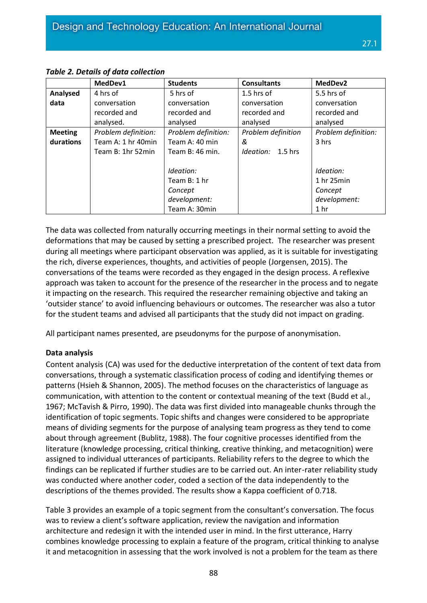|                | MedDev1             | <b>Students</b>     | <b>Consultants</b>   | MedDev2             |
|----------------|---------------------|---------------------|----------------------|---------------------|
| Analysed       | 4 hrs of            | 5 hrs of            | 1.5 hrs of           | 5.5 hrs of          |
| data           | conversation        | conversation        | conversation         | conversation        |
|                | recorded and        | recorded and        | recorded and         | recorded and        |
|                | analysed.           | analysed            | analysed             | analysed            |
| <b>Meeting</b> | Problem definition: | Problem definition: | Problem definition   | Problem definition: |
| durations      | Team A: 1 hr 40min  | Team A: 40 min      | &                    | 3 hrs               |
|                | Team B: 1hr 52min   | Team B: 46 min.     | Ideation:<br>1.5 hrs |                     |
|                |                     |                     |                      |                     |
|                |                     | Ideation:           |                      | Ideation:           |
|                |                     | Team B: 1 hr        |                      | 1 hr 25min          |
|                |                     | Concept             |                      | Concept             |
|                |                     | development:        |                      | development:        |
|                |                     | Team A: 30min       |                      | 1 <sub>hr</sub>     |

#### *Table 2. Details of data collection*

The data was collected from naturally occurring meetings in their normal setting to avoid the deformations that may be caused by setting a prescribed project. The researcher was present during all meetings where participant observation was applied, as it is suitable for investigating the rich, diverse experiences, thoughts, and activities of people (Jorgensen, 2015). The conversations of the teams were recorded as they engaged in the design process. A reflexive approach was taken to account for the presence of the researcher in the process and to negate it impacting on the research. This required the researcher remaining objective and taking an 'outsider stance' to avoid influencing behaviours or outcomes. The researcher was also a tutor for the student teams and advised all participants that the study did not impact on grading.

All participant names presented, are pseudonyms for the purpose of anonymisation.

#### **Data analysis**

Content analysis (CA) was used for the deductive interpretation of the content of text data from conversations, through a systematic classification process of coding and identifying themes or patterns (Hsieh & Shannon, 2005). The method focuses on the characteristics of language as communication, with attention to the content or contextual meaning of the text (Budd et al., 1967; McTavish & Pirro, 1990). The data was first divided into manageable chunks through the identification of topic segments. Topic shifts and changes were considered to be appropriate means of dividing segments for the purpose of analysing team progress as they tend to come about through agreement (Bublitz, 1988). The four cognitive processes identified from the literature (knowledge processing, critical thinking, creative thinking, and metacognition) were assigned to individual utterances of participants. Reliability refers to the degree to which the findings can be replicated if further studies are to be carried out. An inter-rater reliability study was conducted where another coder, coded a section of the data independently to the descriptions of the themes provided. The results show a Kappa coefficient of 0.718.

Table 3 provides an example of a topic segment from the consultant's conversation. The focus was to review a client's software application, review the navigation and information architecture and redesign it with the intended user in mind. In the first utterance, Harry combines knowledge processing to explain a feature of the program, critical thinking to analyse it and metacognition in assessing that the work involved is not a problem for the team as there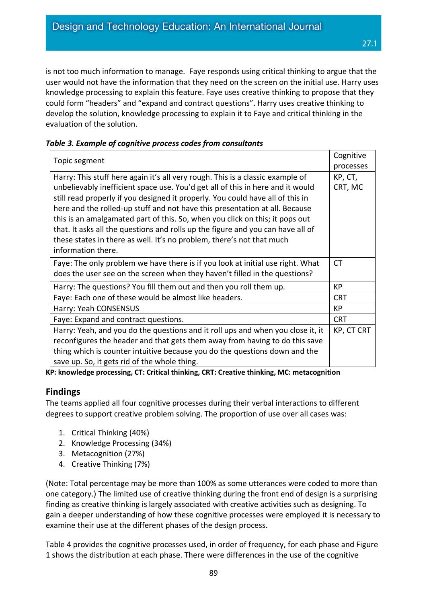is not too much information to manage. Faye responds using critical thinking to argue that the user would not have the information that they need on the screen on the initial use. Harry uses knowledge processing to explain this feature. Faye uses creative thinking to propose that they could form "headers" and "expand and contract questions". Harry uses creative thinking to develop the solution, knowledge processing to explain it to Faye and critical thinking in the evaluation of the solution.

| Topic segment                                                                   | Cognitive         |
|---------------------------------------------------------------------------------|-------------------|
|                                                                                 | processes         |
| Harry: This stuff here again it's all very rough. This is a classic example of  | KP, CT,           |
| unbelievably inefficient space use. You'd get all of this in here and it would  | CRT, MC           |
| still read properly if you designed it properly. You could have all of this in  |                   |
| here and the rolled-up stuff and not have this presentation at all. Because     |                   |
| this is an amalgamated part of this. So, when you click on this; it pops out    |                   |
| that. It asks all the questions and rolls up the figure and you can have all of |                   |
| these states in there as well. It's no problem, there's not that much           |                   |
| information there.                                                              |                   |
| Faye: The only problem we have there is if you look at initial use right. What  | <b>CT</b>         |
| does the user see on the screen when they haven't filled in the questions?      |                   |
| Harry: The questions? You fill them out and then you roll them up.              | KP                |
| Faye: Each one of these would be almost like headers.                           | <b>CRT</b>        |
| Harry: Yeah CONSENSUS                                                           | KP                |
| Faye: Expand and contract questions.                                            | <b>CRT</b>        |
| Harry: Yeah, and you do the questions and it roll ups and when you close it, it | <b>KP, CT CRT</b> |
| reconfigures the header and that gets them away from having to do this save     |                   |
| thing which is counter intuitive because you do the questions down and the      |                   |
| save up. So, it gets rid of the whole thing.                                    |                   |

#### *Table 3. Example of cognitive process codes from consultants*

**KP: knowledge processing, CT: Critical thinking, CRT: Creative thinking, MC: metacognition**

## **Findings**

The teams applied all four cognitive processes during their verbal interactions to different degrees to support creative problem solving. The proportion of use over all cases was:

- 1. Critical Thinking (40%)
- 2. Knowledge Processing (34%)
- 3. Metacognition (27%)
- 4. Creative Thinking (7%)

(Note: Total percentage may be more than 100% as some utterances were coded to more than one category.) The limited use of creative thinking during the front end of design is a surprising finding as creative thinking is largely associated with creative activities such as designing. To gain a deeper understanding of how these cognitive processes were employed it is necessary to examine their use at the different phases of the design process.

Table 4 provides the cognitive processes used, in order of frequency, for each phase and Figure 1 shows the distribution at each phase. There were differences in the use of the cognitive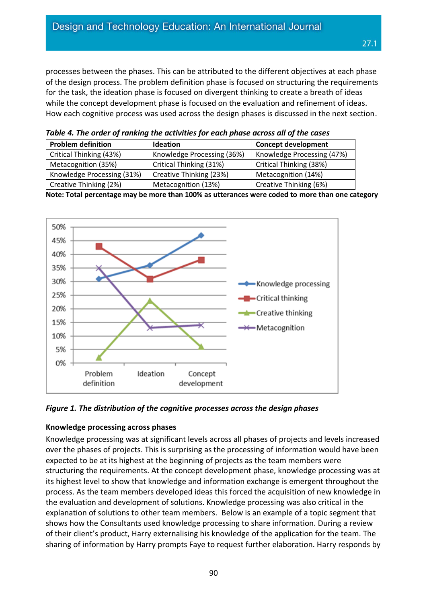processes between the phases. This can be attributed to the different objectives at each phase of the design process. The problem definition phase is focused on structuring the requirements for the task, the ideation phase is focused on divergent thinking to create a breath of ideas while the concept development phase is focused on the evaluation and refinement of ideas. How each cognitive process was used across the design phases is discussed in the next section.

**Problem definition Ideation Ideation Concept development** Critical Thinking (43%) | Knowledge Processing (36%) | Knowledge Processing (47%) Metacognition (35%) | Critical Thinking (31%) | Critical Thinking (38%) Knowledge Processing  $(31\%)$  Creative Thinking  $(23\%)$  Metacognition  $(14\%)$ Creative Thinking (2%) Metacognition (13%) Creative Thinking (6%)

*Table 4. The order of ranking the activities for each phase across all of the cases*

**Note: Total percentage may be more than 100% as utterances were coded to more than one category**



*Figure 1. The distribution of the cognitive processes across the design phases*

#### **Knowledge processing across phases**

Knowledge processing was at significant levels across all phases of projects and levels increased over the phases of projects. This is surprising as the processing of information would have been expected to be at its highest at the beginning of projects as the team members were structuring the requirements. At the concept development phase, knowledge processing was at its highest level to show that knowledge and information exchange is emergent throughout the process. As the team members developed ideas this forced the acquisition of new knowledge in the evaluation and development of solutions. Knowledge processing was also critical in the explanation of solutions to other team members. Below is an example of a topic segment that shows how the Consultants used knowledge processing to share information. During a review of their client's product, Harry externalising his knowledge of the application for the team. The sharing of information by Harry prompts Faye to request further elaboration. Harry responds by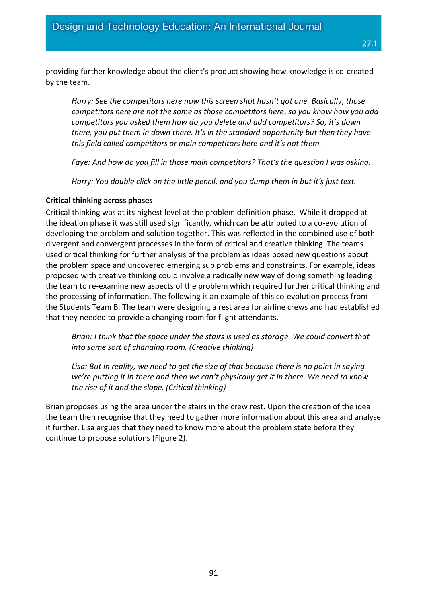providing further knowledge about the client's product showing how knowledge is co-created by the team.

*Harry: See the competitors here now this screen shot hasn't got one. Basically, those competitors here are not the same as those competitors here, so you know how you add competitors you asked them how do you delete and add competitors? So, it's down there, you put them in down there. It's in the standard opportunity but then they have this field called competitors or main competitors here and it's not them.*

*Faye: And how do you fill in those main competitors? That's the question I was asking.*

*Harry: You double click on the little pencil, and you dump them in but it's just text.*

#### **Critical thinking across phases**

Critical thinking was at its highest level at the problem definition phase. While it dropped at the ideation phase it was still used significantly, which can be attributed to a co-evolution of developing the problem and solution together. This was reflected in the combined use of both divergent and convergent processes in the form of critical and creative thinking. The teams used critical thinking for further analysis of the problem as ideas posed new questions about the problem space and uncovered emerging sub problems and constraints. For example, ideas proposed with creative thinking could involve a radically new way of doing something leading the team to re-examine new aspects of the problem which required further critical thinking and the processing of information. The following is an example of this co-evolution process from the Students Team B. The team were designing a rest area for airline crews and had established that they needed to provide a changing room for flight attendants.

*Brian: I think that the space under the stairs is used as storage. We could convert that into some sort of changing room. (Creative thinking)*

*Lisa: But in reality, we need to get the size of that because there is no point in saying we're putting it in there and then we can't physically get it in there. We need to know the rise of it and the slope. (Critical thinking)*

Brian proposes using the area under the stairs in the crew rest. Upon the creation of the idea the team then recognise that they need to gather more information about this area and analyse it further. Lisa argues that they need to know more about the problem state before they continue to propose solutions (Figure 2).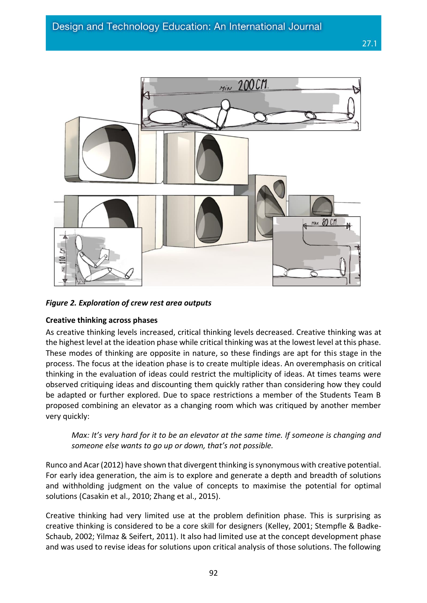

*Figure 2. Exploration of crew rest area outputs*

#### **Creative thinking across phases**

As creative thinking levels increased, critical thinking levels decreased. Creative thinking was at the highest level at the ideation phase while critical thinking was at the lowest level at this phase. These modes of thinking are opposite in nature, so these findings are apt for this stage in the process. The focus at the ideation phase is to create multiple ideas. An overemphasis on critical thinking in the evaluation of ideas could restrict the multiplicity of ideas. At times teams were observed critiquing ideas and discounting them quickly rather than considering how they could be adapted or further explored. Due to space restrictions a member of the Students Team B proposed combining an elevator as a changing room which was critiqued by another member very quickly:

*Max: It's very hard for it to be an elevator at the same time. If someone is changing and someone else wants to go up or down, that's not possible.*

Runco and Acar (2012) have shown that divergent thinking is synonymous with creative potential. For early idea generation, the aim is to explore and generate a depth and breadth of solutions and withholding judgment on the value of concepts to maximise the potential for optimal solutions (Casakin et al., 2010; Zhang et al., 2015).

Creative thinking had very limited use at the problem definition phase. This is surprising as creative thinking is considered to be a core skill for designers (Kelley, 2001; Stempfle & Badke-Schaub, 2002; Yilmaz & Seifert, 2011). It also had limited use at the concept development phase and was used to revise ideas for solutions upon critical analysis of those solutions. The following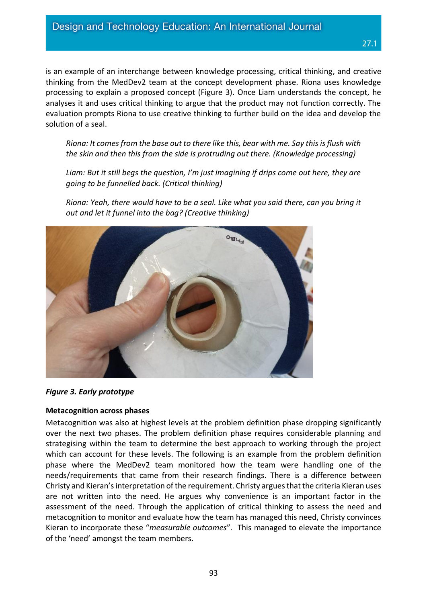is an example of an interchange between knowledge processing, critical thinking, and creative thinking from the MedDev2 team at the concept development phase. Riona uses knowledge processing to explain a proposed concept (Figure 3). Once Liam understands the concept, he analyses it and uses critical thinking to argue that the product may not function correctly. The evaluation prompts Riona to use creative thinking to further build on the idea and develop the solution of a seal.

*Riona: It comes from the base out to there like this, bear with me. Say this is flush with the skin and then this from the side is protruding out there. (Knowledge processing)*

*Liam: But it still begs the question, I'm just imagining if drips come out here, they are going to be funnelled back. (Critical thinking)* 

*Riona: Yeah, there would have to be a seal. Like what you said there, can you bring it out and let it funnel into the bag? (Creative thinking)*



## *Figure 3. Early prototype*

#### **Metacognition across phases**

Metacognition was also at highest levels at the problem definition phase dropping significantly over the next two phases. The problem definition phase requires considerable planning and strategising within the team to determine the best approach to working through the project which can account for these levels. The following is an example from the problem definition phase where the MedDev2 team monitored how the team were handling one of the needs/requirements that came from their research findings. There is a difference between Christy and Kieran's interpretation of the requirement. Christy argues that the criteria Kieran uses are not written into the need. He argues why convenience is an important factor in the assessment of the need. Through the application of critical thinking to assess the need and metacognition to monitor and evaluate how the team has managed this need, Christy convinces Kieran to incorporate these "*measurable outcomes*". This managed to elevate the importance of the 'need' amongst the team members.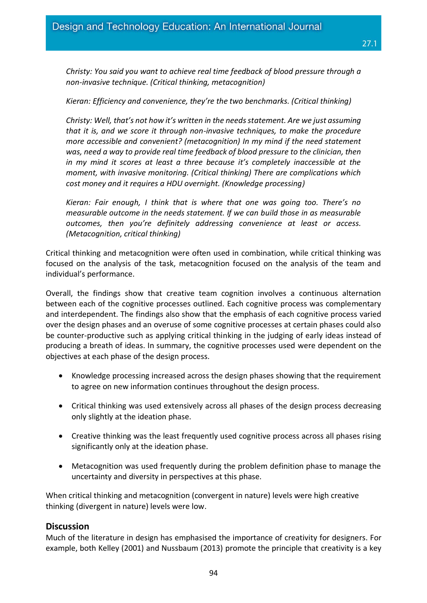*Christy: You said you want to achieve real time feedback of blood pressure through a non-invasive technique. (Critical thinking, metacognition)*

#### *Kieran: Efficiency and convenience, they're the two benchmarks. (Critical thinking)*

*Christy: Well, that's not how it's written in the needs statement. Are we just assuming that it is, and we score it through non-invasive techniques, to make the procedure more accessible and convenient? (metacognition) In my mind if the need statement was, need a way to provide real time feedback of blood pressure to the clinician, then in my mind it scores at least a three because it's completely inaccessible at the moment, with invasive monitoring. (Critical thinking) There are complications which cost money and it requires a HDU overnight. (Knowledge processing)*

*Kieran: Fair enough, I think that is where that one was going too. There's no measurable outcome in the needs statement. If we can build those in as measurable outcomes, then you're definitely addressing convenience at least or access. (Metacognition, critical thinking)*

Critical thinking and metacognition were often used in combination, while critical thinking was focused on the analysis of the task, metacognition focused on the analysis of the team and individual's performance.

Overall, the findings show that creative team cognition involves a continuous alternation between each of the cognitive processes outlined. Each cognitive process was complementary and interdependent. The findings also show that the emphasis of each cognitive process varied over the design phases and an overuse of some cognitive processes at certain phases could also be counter-productive such as applying critical thinking in the judging of early ideas instead of producing a breath of ideas. In summary, the cognitive processes used were dependent on the objectives at each phase of the design process.

- Knowledge processing increased across the design phases showing that the requirement to agree on new information continues throughout the design process.
- Critical thinking was used extensively across all phases of the design process decreasing only slightly at the ideation phase.
- Creative thinking was the least frequently used cognitive process across all phases rising significantly only at the ideation phase.
- Metacognition was used frequently during the problem definition phase to manage the uncertainty and diversity in perspectives at this phase.

When critical thinking and metacognition (convergent in nature) levels were high creative thinking (divergent in nature) levels were low.

## **Discussion**

Much of the literature in design has emphasised the importance of creativity for designers. For example, both Kelley (2001) and Nussbaum (2013) promote the principle that creativity is a key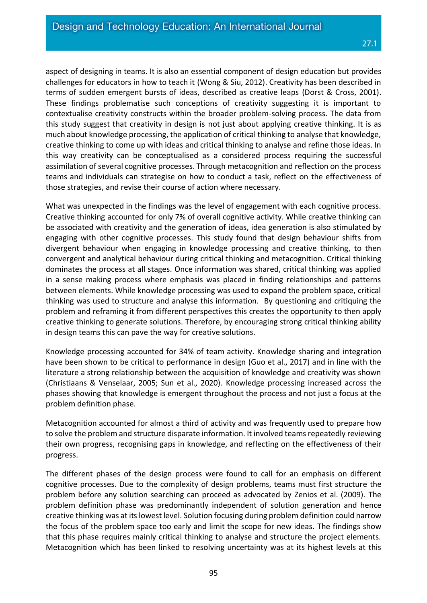aspect of designing in teams. It is also an essential component of design education but provides challenges for educators in how to teach it (Wong & Siu, 2012). Creativity has been described in terms of sudden emergent bursts of ideas, described as creative leaps (Dorst & Cross, 2001). These findings problematise such conceptions of creativity suggesting it is important to contextualise creativity constructs within the broader problem-solving process. The data from this study suggest that creativity in design is not just about applying creative thinking. It is as much about knowledge processing, the application of critical thinking to analyse that knowledge, creative thinking to come up with ideas and critical thinking to analyse and refine those ideas. In this way creativity can be conceptualised as a considered process requiring the successful assimilation of several cognitive processes. Through metacognition and reflection on the process teams and individuals can strategise on how to conduct a task, reflect on the effectiveness of those strategies, and revise their course of action where necessary.

What was unexpected in the findings was the level of engagement with each cognitive process. Creative thinking accounted for only 7% of overall cognitive activity. While creative thinking can be associated with creativity and the generation of ideas, idea generation is also stimulated by engaging with other cognitive processes. This study found that design behaviour shifts from divergent behaviour when engaging in knowledge processing and creative thinking, to then convergent and analytical behaviour during critical thinking and metacognition. Critical thinking dominates the process at all stages. Once information was shared, critical thinking was applied in a sense making process where emphasis was placed in finding relationships and patterns between elements. While knowledge processing was used to expand the problem space, critical thinking was used to structure and analyse this information. By questioning and critiquing the problem and reframing it from different perspectives this creates the opportunity to then apply creative thinking to generate solutions. Therefore, by encouraging strong critical thinking ability in design teams this can pave the way for creative solutions.

Knowledge processing accounted for 34% of team activity. Knowledge sharing and integration have been shown to be critical to performance in design (Guo et al., 2017) and in line with the literature a strong relationship between the acquisition of knowledge and creativity was shown (Christiaans & Venselaar, 2005; Sun et al., 2020). Knowledge processing increased across the phases showing that knowledge is emergent throughout the process and not just a focus at the problem definition phase.

Metacognition accounted for almost a third of activity and was frequently used to prepare how to solve the problem and structure disparate information. It involved teams repeatedly reviewing their own progress, recognising gaps in knowledge, and reflecting on the effectiveness of their progress.

The different phases of the design process were found to call for an emphasis on different cognitive processes. Due to the complexity of design problems, teams must first structure the problem before any solution searching can proceed as advocated by Zenios et al. (2009). The problem definition phase was predominantly independent of solution generation and hence creative thinking was at its lowest level. Solution focusing during problem definition could narrow the focus of the problem space too early and limit the scope for new ideas. The findings show that this phase requires mainly critical thinking to analyse and structure the project elements. Metacognition which has been linked to resolving uncertainty was at its highest levels at this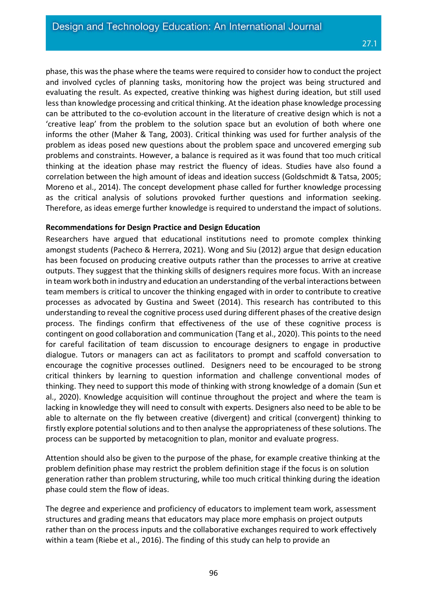phase, this was the phase where the teams were required to consider how to conduct the project and involved cycles of planning tasks, monitoring how the project was being structured and evaluating the result. As expected, creative thinking was highest during ideation, but still used less than knowledge processing and critical thinking. At the ideation phase knowledge processing can be attributed to the co-evolution account in the literature of creative design which is not a 'creative leap' from the problem to the solution space but an evolution of both where one informs the other (Maher & Tang, 2003). Critical thinking was used for further analysis of the problem as ideas posed new questions about the problem space and uncovered emerging sub problems and constraints. However, a balance is required as it was found that too much critical thinking at the ideation phase may restrict the fluency of ideas. Studies have also found a correlation between the high amount of ideas and ideation success (Goldschmidt & Tatsa, 2005; Moreno et al., 2014). The concept development phase called for further knowledge processing as the critical analysis of solutions provoked further questions and information seeking. Therefore, as ideas emerge further knowledge is required to understand the impact of solutions.

#### **Recommendations for Design Practice and Design Education**

Researchers have argued that educational institutions need to promote complex thinking amongst students (Pacheco & Herrera, 2021). Wong and Siu (2012) argue that design education has been focused on producing creative outputs rather than the processes to arrive at creative outputs. They suggest that the thinking skills of designers requires more focus. With an increase in team work both in industry and education an understanding of the verbal interactions between team members is critical to uncover the thinking engaged with in order to contribute to creative processes as advocated by Gustina and Sweet (2014). This research has contributed to this understanding to reveal the cognitive process used during different phases of the creative design process. The findings confirm that effectiveness of the use of these cognitive process is contingent on good collaboration and communication (Tang et al., 2020). This points to the need for careful facilitation of team discussion to encourage designers to engage in productive dialogue. Tutors or managers can act as facilitators to prompt and scaffold conversation to encourage the cognitive processes outlined. Designers need to be encouraged to be strong critical thinkers by learning to question information and challenge conventional modes of thinking. They need to support this mode of thinking with strong knowledge of a domain (Sun et al., 2020). Knowledge acquisition will continue throughout the project and where the team is lacking in knowledge they will need to consult with experts. Designers also need to be able to be able to alternate on the fly between creative (divergent) and critical (convergent) thinking to firstly explore potential solutions and to then analyse the appropriateness of these solutions. The process can be supported by metacognition to plan, monitor and evaluate progress.

Attention should also be given to the purpose of the phase, for example creative thinking at the problem definition phase may restrict the problem definition stage if the focus is on solution generation rather than problem structuring, while too much critical thinking during the ideation phase could stem the flow of ideas.

The degree and experience and proficiency of educators to implement team work, assessment structures and grading means that educators may place more emphasis on project outputs rather than on the process inputs and the collaborative exchanges required to work effectively within a team (Riebe et al., 2016). The finding of this study can help to provide an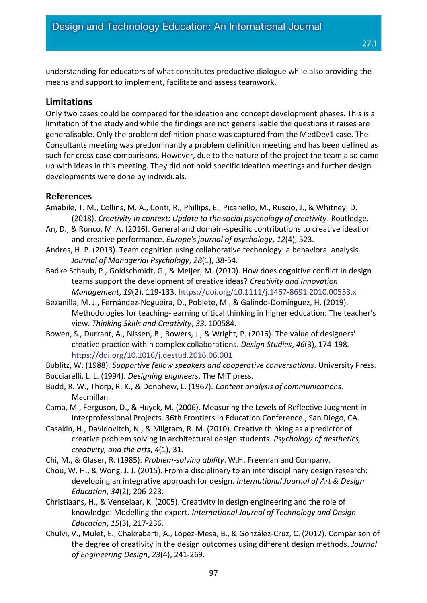understanding for educators of what constitutes productive dialogue while also providing the means and support to implement, facilitate and assess teamwork.

## **Limitations**

Only two cases could be compared for the ideation and concept development phases. This is a limitation of the study and while the findings are not generalisable the questions it raises are generalisable. Only the problem definition phase was captured from the MedDev1 case. The Consultants meeting was predominantly a problem definition meeting and has been defined as such for cross case comparisons. However, due to the nature of the project the team also came up with ideas in this meeting. They did not hold specific ideation meetings and further design developments were done by individuals.

## **References**

- Amabile, T. M., Collins, M. A., Conti, R., Phillips, E., Picariello, M., Ruscio, J., & Whitney, D. (2018). *Creativity in context: Update to the social psychology of creativity*. Routledge.
- An, D., & Runco, M. A. (2016). General and domain-specific contributions to creative ideation and creative performance. *Europe's journal of psychology*, *12*(4), 523.
- Andres, H. P. (2013). Team cognition using collaborative technology: a behavioral analysis. *Journal of Managerial Psychology*, *28*(1), 38-54.
- Badke Schaub, P., Goldschmidt, G., & Meijer, M. (2010). How does cognitive conflict in design teams support the development of creative ideas? *Creativity and Innovation Management*, *19*(2), 119-133.<https://doi.org/10.1111/j.1467-8691.2010.00553.x>
- Bezanilla, M. J., Fernández-Nogueira, D., Poblete, M., & Galindo-Domínguez, H. (2019). Methodologies for teaching-learning critical thinking in higher education: The teacher's view. *Thinking Skills and Creativity*, *33*, 100584.
- Bowen, S., Durrant, A., Nissen, B., Bowers, J., & Wright, P. (2016). The value of designers' creative practice within complex collaborations. *Design Studies*, *46*(3), 174-198. <https://doi.org/10.1016/j.destud.2016.06.001>

Bublitz, W. (1988). *Supportive fellow speakers and cooperative conversations*. University Press.

- Bucciarelli, L. L. (1994). *Designing engineers*. The MIT press.
- Budd, R. W., Thorp, R. K., & Donohew, L. (1967). *Content analysis of communications*. Macmillan.
- Cama, M., Ferguson, D., & Huyck, M. (2006). Measuring the Levels of Reflective Judgment in Interprofessional Projects. 36th Frontiers in Education Conference., San Diego, CA.
- Casakin, H., Davidovitch, N., & Milgram, R. M. (2010). Creative thinking as a predictor of creative problem solving in architectural design students. *Psychology of aesthetics, creativity, and the arts*, *4*(1), 31.
- Chi, M., & Glaser, R. (1985). *Problem-solving ability*. W.H. Freeman and Company.
- Chou, W. H., & Wong, J. J. (2015). From a disciplinary to an interdisciplinary design research: developing an integrative approach for design. *International Journal of Art & Design Education*, *34*(2), 206-223.
- Christiaans, H., & Venselaar, K. (2005). Creativity in design engineering and the role of knowledge: Modelling the expert. *International Journal of Technology and Design Education*, *15*(3), 217-236.
- Chulvi, V., Mulet, E., Chakrabarti, A., López-Mesa, B., & González-Cruz, C. (2012). Comparison of the degree of creativity in the design outcomes using different design methods. *Journal of Engineering Design*, *23*(4), 241-269.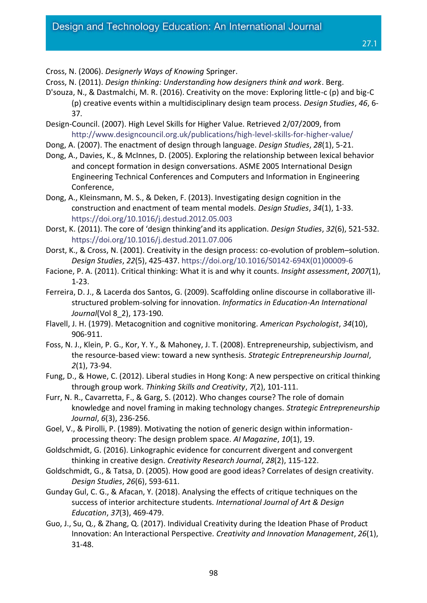Cross, N. (2011). *Design thinking: Understanding how designers think and work*. Berg.

D'souza, N., & Dastmalchi, M. R. (2016). Creativity on the move: Exploring little-c (p) and big-C (p) creative events within a multidisciplinary design team process. *Design Studies*, *46*, 6- 37.

Design-Council. (2007). High Level Skills for Higher Value. Retrieved 2/07/2009, from <http://www.designcouncil.org.uk/publications/high-level-skills-for-higher-value/>

Dong, A. (2007). The enactment of design through language. *Design Studies*, *28*(1), 5-21.

Dong, A., Davies, K., & McInnes, D. (2005). Exploring the relationship between lexical behavior and concept formation in design conversations. ASME 2005 International Design Engineering Technical Conferences and Computers and Information in Engineering Conference,

Dong, A., Kleinsmann, M. S., & Deken, F. (2013). Investigating design cognition in the construction and enactment of team mental models. *Design Studies*, *34*(1), 1-33. <https://doi.org/10.1016/j.destud.2012.05.003>

Dorst, K. (2011). The core of 'design thinking'and its application. *Design Studies*, *32*(6), 521-532. <https://doi.org/10.1016/j.destud.2011.07.006>

Dorst, K., & Cross, N. (2001). Creativity in the design process: co-evolution of problem–solution. *Design Studies*, *22*(5), 425-437. [https://doi.org/10.1016/S0142-694X\(01\)00009-6](https://doi.org/10.1016/S0142-694X(01)00009-6)

Facione, P. A. (2011). Critical thinking: What it is and why it counts. *Insight assessment*, *2007*(1), 1-23.

Ferreira, D. J., & Lacerda dos Santos, G. (2009). Scaffolding online discourse in collaborative illstructured problem-solving for innovation. *Informatics in Education-An International Journal*(Vol 8\_2), 173-190.

Flavell, J. H. (1979). Metacognition and cognitive monitoring. *American Psychologist*, *34*(10), 906-911.

Foss, N. J., Klein, P. G., Kor, Y. Y., & Mahoney, J. T. (2008). Entrepreneurship, subjectivism, and the resource‐based view: toward a new synthesis. *Strategic Entrepreneurship Journal*, *2*(1), 73-94.

Fung, D., & Howe, C. (2012). Liberal studies in Hong Kong: A new perspective on critical thinking through group work. *Thinking Skills and Creativity*, *7*(2), 101-111.

Furr, N. R., Cavarretta, F., & Garg, S. (2012). Who changes course? The role of domain knowledge and novel framing in making technology changes. *Strategic Entrepreneurship Journal*, *6*(3), 236-256.

Goel, V., & Pirolli, P. (1989). Motivating the notion of generic design within informationprocessing theory: The design problem space. *AI Magazine*, *10*(1), 19.

Goldschmidt, G. (2016). Linkographic evidence for concurrent divergent and convergent thinking in creative design. *Creativity Research Journal*, *28*(2), 115-122.

Goldschmidt, G., & Tatsa, D. (2005). How good are good ideas? Correlates of design creativity. *Design Studies*, *26*(6), 593-611.

Gunday Gul, C. G., & Afacan, Y. (2018). Analysing the effects of critique techniques on the success of interior architecture students. *International Journal of Art & Design Education*, *37*(3), 469-479.

Guo, J., Su, Q., & Zhang, Q. (2017). Individual Creativity during the Ideation Phase of Product Innovation: An Interactional Perspective. *Creativity and Innovation Management*, *26*(1), 31-48.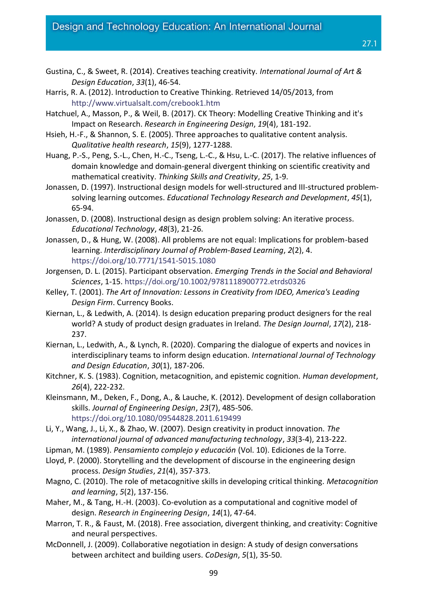- Gustina, C., & Sweet, R. (2014). Creatives teaching creativity. *International Journal of Art & Design Education*, *33*(1), 46-54.
- Harris, R. A. (2012). Introduction to Creative Thinking. Retrieved 14/05/2013, from <http://www.virtualsalt.com/crebook1.htm>
- Hatchuel, A., Masson, P., & Weil, B. (2017). CK Theory: Modelling Creative Thinking and it's Impact on Research. *Research in Engineering Design*, *19*(4), 181-192.
- Hsieh, H.-F., & Shannon, S. E. (2005). Three approaches to qualitative content analysis. *Qualitative health research*, *15*(9), 1277-1288.
- Huang, P.-S., Peng, S.-L., Chen, H.-C., Tseng, L.-C., & Hsu, L.-C. (2017). The relative influences of domain knowledge and domain-general divergent thinking on scientific creativity and mathematical creativity. *Thinking Skills and Creativity*, *25*, 1-9.
- Jonassen, D. (1997). Instructional design models for well-structured and III-structured problemsolving learning outcomes. *Educational Technology Research and Development*, *45*(1), 65-94.
- Jonassen, D. (2008). Instructional design as design problem solving: An iterative process. *Educational Technology*, *48*(3), 21-26.
- Jonassen, D., & Hung, W. (2008). All problems are not equal: Implications for problem-based learning. *Interdisciplinary Journal of Problem-Based Learning*, *2*(2), 4. <https://doi.org/10.7771/1541-5015.1080>
- Jorgensen, D. L. (2015). Participant observation. *Emerging Trends in the Social and Behavioral Sciences*, 1-15[. https://doi.org/10.1002/9781118900772.etrds0326](https://doi.org/10.1002/9781118900772.etrds0326)
- Kelley, T. (2001). *The Art of Innovation: Lessons in Creativity from IDEO, America's Leading Design Firm*. Currency Books.
- Kiernan, L., & Ledwith, A. (2014). Is design education preparing product designers for the real world? A study of product design graduates in Ireland. *The Design Journal*, *17*(2), 218- 237.
- Kiernan, L., Ledwith, A., & Lynch, R. (2020). Comparing the dialogue of experts and novices in interdisciplinary teams to inform design education. *International Journal of Technology and Design Education*, *30*(1), 187-206.
- Kitchner, K. S. (1983). Cognition, metacognition, and epistemic cognition. *Human development*, *26*(4), 222-232.
- Kleinsmann, M., Deken, F., Dong, A., & Lauche, K. (2012). Development of design collaboration skills. *Journal of Engineering Design*, *23*(7), 485-506. <https://doi.org/10.1080/09544828.2011.619499>
- Li, Y., Wang, J., Li, X., & Zhao, W. (2007). Design creativity in product innovation. *The international journal of advanced manufacturing technology*, *33*(3-4), 213-222.
- Lipman, M. (1989). *Pensamiento complejo y educación* (Vol. 10). Ediciones de la Torre.
- Lloyd, P. (2000). Storytelling and the development of discourse in the engineering design process. *Design Studies*, *21*(4), 357-373.
- Magno, C. (2010). The role of metacognitive skills in developing critical thinking. *Metacognition and learning*, *5*(2), 137-156.
- Maher, M., & Tang, H.-H. (2003). Co-evolution as a computational and cognitive model of design. *Research in Engineering Design*, *14*(1), 47-64.
- Marron, T. R., & Faust, M. (2018). Free association, divergent thinking, and creativity: Cognitive and neural perspectives.
- McDonnell, J. (2009). Collaborative negotiation in design: A study of design conversations between architect and building users. *CoDesign*, *5*(1), 35-50.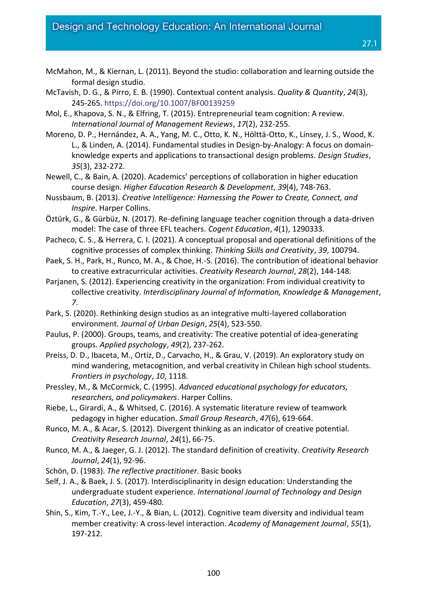- McMahon, M., & Kiernan, L. (2011). Beyond the studio: collaboration and learning outside the formal design studio.
- McTavish, D. G., & Pirro, E. B. (1990). Contextual content analysis. *Quality & Quantity*, *24*(3), 245-265.<https://doi.org/10.1007/BF00139259>
- Mol, E., Khapova, S. N., & Elfring, T. (2015). Entrepreneurial team cognition: A review. *International Journal of Management Reviews*, *17*(2), 232-255.
- Moreno, D. P., Hernández, A. A., Yang, M. C., Otto, K. N., Hölttä-Otto, K., Linsey, J. S., Wood, K. L., & Linden, A. (2014). Fundamental studies in Design-by-Analogy: A focus on domainknowledge experts and applications to transactional design problems. *Design Studies*, *35*(3), 232-272.
- Newell, C., & Bain, A. (2020). Academics' perceptions of collaboration in higher education course design. *Higher Education Research & Development*, *39*(4), 748-763.
- Nussbaum, B. (2013). *Creative Intelligence: Harnessing the Power to Create, Connect, and Inspire*. Harper Collins.
- Öztürk, G., & Gürbüz, N. (2017). Re-defining language teacher cognition through a data-driven model: The case of three EFL teachers. *Cogent Education*, *4*(1), 1290333.
- Pacheco, C. S., & Herrera, C. I. (2021). A conceptual proposal and operational definitions of the cognitive processes of complex thinking. *Thinking Skills and Creativity*, *39*, 100794.
- Paek, S. H., Park, H., Runco, M. A., & Choe, H.-S. (2016). The contribution of ideational behavior to creative extracurricular activities. *Creativity Research Journal*, *28*(2), 144-148.
- Parjanen, S. (2012). Experiencing creativity in the organization: From individual creativity to collective creativity. *Interdisciplinary Journal of Information, Knowledge & Management*, *7*.
- Park, S. (2020). Rethinking design studios as an integrative multi-layered collaboration environment. *Journal of Urban Design*, *25*(4), 523-550.
- Paulus, P. (2000). Groups, teams, and creativity: The creative potential of idea‐generating groups. *Applied psychology*, *49*(2), 237-262.
- Preiss, D. D., Ibaceta, M., Ortiz, D., Carvacho, H., & Grau, V. (2019). An exploratory study on mind wandering, metacognition, and verbal creativity in Chilean high school students. *Frontiers in psychology*, *10*, 1118.
- Pressley, M., & McCormick, C. (1995). *Advanced educational psychology for educators, researchers, and policymakers*. Harper Collins.
- Riebe, L., Girardi, A., & Whitsed, C. (2016). A systematic literature review of teamwork pedagogy in higher education. *Small Group Research*, *47*(6), 619-664.
- Runco, M. A., & Acar, S. (2012). Divergent thinking as an indicator of creative potential. *Creativity Research Journal*, *24*(1), 66-75.
- Runco, M. A., & Jaeger, G. J. (2012). The standard definition of creativity. *Creativity Research Journal*, *24*(1), 92-96.
- Schön, D. (1983). *The reflective practitioner*. Basic books
- Self, J. A., & Baek, J. S. (2017). Interdisciplinarity in design education: Understanding the undergraduate student experience. *International Journal of Technology and Design Education*, *27*(3), 459-480.
- Shin, S., Kim, T.-Y., Lee, J.-Y., & Bian, L. (2012). Cognitive team diversity and individual team member creativity: A cross-level interaction. *Academy of Management Journal*, *55*(1), 197-212.